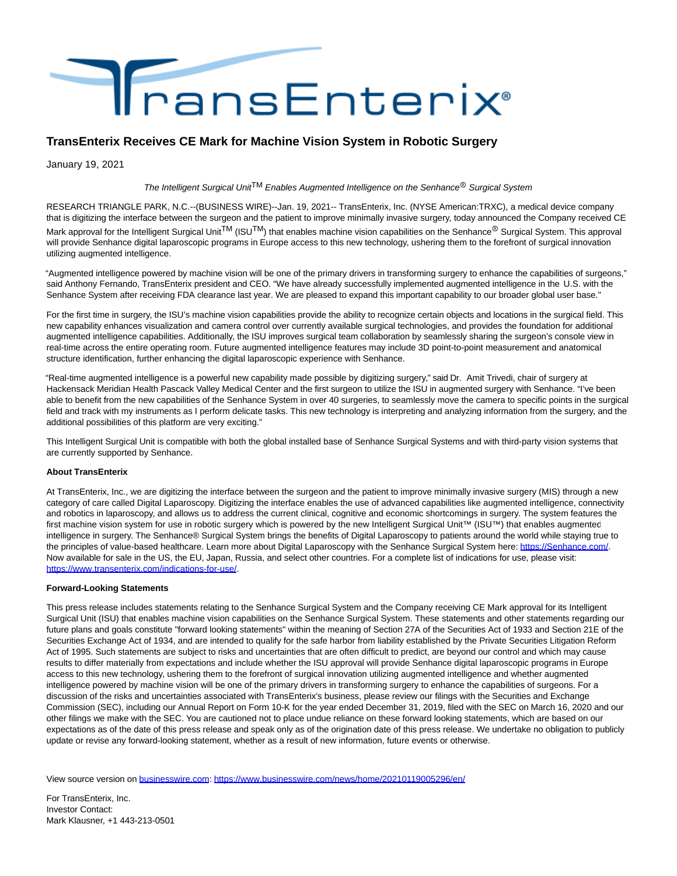

## **TransEnterix Receives CE Mark for Machine Vision System in Robotic Surgery**

January 19, 2021

The Intelligent Surgical Unit<sup>TM</sup> Enables Augmented Intelligence on the Senhance<sup>®</sup> Surgical System

RESEARCH TRIANGLE PARK, N.C.--(BUSINESS WIRE)--Jan. 19, 2021-- TransEnterix, Inc. (NYSE American:TRXC), a medical device company that is digitizing the interface between the surgeon and the patient to improve minimally invasive surgery, today announced the Company received CE Mark approval for the Intelligent Surgical Unit<sup>TM</sup> (ISU<sup>TM</sup>) that enables machine vision capabilities on the Senhance<sup>®</sup> Surgical System. This approval will provide Senhance digital laparoscopic programs in Europe access to this new technology, ushering them to the forefront of surgical innovation utilizing augmented intelligence.

"Augmented intelligence powered by machine vision will be one of the primary drivers in transforming surgery to enhance the capabilities of surgeons," said Anthony Fernando, TransEnterix president and CEO. "We have already successfully implemented augmented intelligence in the U.S. with the Senhance System after receiving FDA clearance last year. We are pleased to expand this important capability to our broader global user base."

For the first time in surgery, the ISU's machine vision capabilities provide the ability to recognize certain objects and locations in the surgical field. This new capability enhances visualization and camera control over currently available surgical technologies, and provides the foundation for additional augmented intelligence capabilities. Additionally, the ISU improves surgical team collaboration by seamlessly sharing the surgeon's console view in real-time across the entire operating room. Future augmented intelligence features may include 3D point-to-point measurement and anatomical structure identification, further enhancing the digital laparoscopic experience with Senhance.

"Real-time augmented intelligence is a powerful new capability made possible by digitizing surgery," said Dr. Amit Trivedi, chair of surgery at Hackensack Meridian Health Pascack Valley Medical Center and the first surgeon to utilize the ISU in augmented surgery with Senhance. "I've been able to benefit from the new capabilities of the Senhance System in over 40 surgeries, to seamlessly move the camera to specific points in the surgical field and track with my instruments as I perform delicate tasks. This new technology is interpreting and analyzing information from the surgery, and the additional possibilities of this platform are very exciting."

This Intelligent Surgical Unit is compatible with both the global installed base of Senhance Surgical Systems and with third-party vision systems that are currently supported by Senhance.

## **About TransEnterix**

At TransEnterix, Inc., we are digitizing the interface between the surgeon and the patient to improve minimally invasive surgery (MIS) through a new category of care called Digital Laparoscopy. Digitizing the interface enables the use of advanced capabilities like augmented intelligence, connectivity and robotics in laparoscopy, and allows us to address the current clinical, cognitive and economic shortcomings in surgery. The system features the first machine vision system for use in robotic surgery which is powered by the new Intelligent Surgical Unit™ (ISU™) that enables augmented intelligence in surgery. The Senhance® Surgical System brings the benefits of Digital Laparoscopy to patients around the world while staying true to the principles of value-based healthcare. Learn more about Digital Laparoscopy with the Senhance Surgical System here: [https://Senhance.com/.](https://cts.businesswire.com/ct/CT?id=smartlink&url=https%3A%2F%2FSenhance.com%2F&esheet=52363568&newsitemid=20210119005296&lan=en-US&anchor=https%3A%2F%2FSenhance.com%2F&index=1&md5=ccd578e5f855f3df036dac34a871c8c0) Now available for sale in the US, the EU, Japan, Russia, and select other countries. For a complete list of indications for use, please visit: [https://www.transenterix.com/indications-for-use/.](https://cts.businesswire.com/ct/CT?id=smartlink&url=https%3A%2F%2Fwww.transenterix.com%2Findications-for-use%2F&esheet=52363568&newsitemid=20210119005296&lan=en-US&anchor=https%3A%2F%2Fwww.transenterix.com%2Findications-for-use%2F&index=2&md5=fc74b2251e109a5b783f9e64e11e752a)

## **Forward-Looking Statements**

This press release includes statements relating to the Senhance Surgical System and the Company receiving CE Mark approval for its Intelligent Surgical Unit (ISU) that enables machine vision capabilities on the Senhance Surgical System. These statements and other statements regarding our future plans and goals constitute "forward looking statements" within the meaning of Section 27A of the Securities Act of 1933 and Section 21E of the Securities Exchange Act of 1934, and are intended to qualify for the safe harbor from liability established by the Private Securities Litigation Reform Act of 1995. Such statements are subject to risks and uncertainties that are often difficult to predict, are beyond our control and which may cause results to differ materially from expectations and include whether the ISU approval will provide Senhance digital laparoscopic programs in Europe access to this new technology, ushering them to the forefront of surgical innovation utilizing augmented intelligence and whether augmented intelligence powered by machine vision will be one of the primary drivers in transforming surgery to enhance the capabilities of surgeons. For a discussion of the risks and uncertainties associated with TransEnterix's business, please review our filings with the Securities and Exchange Commission (SEC), including our Annual Report on Form 10-K for the year ended December 31, 2019, filed with the SEC on March 16, 2020 and our other filings we make with the SEC. You are cautioned not to place undue reliance on these forward looking statements, which are based on our expectations as of the date of this press release and speak only as of the origination date of this press release. We undertake no obligation to publicly update or revise any forward-looking statement, whether as a result of new information, future events or otherwise.

View source version on [businesswire.com:](http://businesswire.com/)<https://www.businesswire.com/news/home/20210119005296/en/>

For TransEnterix, Inc. Investor Contact: Mark Klausner, +1 443-213-0501